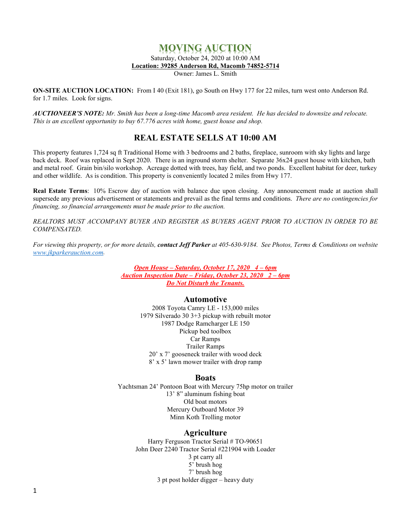# **MOVING AUCTION**

Saturday, October 24, 2020 at 10:00 AM

**Location: 39285 Anderson Rd, Macomb 74852-5714**

Owner: James L. Smith

**ON-SITE AUCTION LOCATION:** From I 40 (Exit 181), go South on Hwy 177 for 22 miles, turn west onto Anderson Rd. for 1.7 miles. Look for signs.

AUCTIONEER'S NOTE: Mr. Smith has been a long-time Macomb area resident. He has decided to downsize and relocate. *This is an excellent opportunity to buy 67.776 acres with home, guest house and shop.*

## **REAL ESTATE SELLS AT 10:00 AM**

This property features 1,724 sq ft Traditional Home with 3 bedrooms and 2 baths, fireplace, sunroom with sky lights and large back deck. Roof was replaced in Sept 2020. There is an inground storm shelter. Separate 36x24 guest house with kitchen, bath and metal roof. Grain bin/silo workshop. Acreage dotted with trees, hay field, and two ponds. Excellent habitat for deer, turkey and other wildlife. As is condition. This property is conveniently located 2 miles from Hwy 177.

**Real Estate Terms**: 10% Escrow day of auction with balance due upon closing. Any announcement made at auction shall supersede any previous advertisement or statements and prevail as the final terms and conditions. *There are no contingencies for financing, so financial arrangements must be made prior to the auction.*

*REALTORS MUST ACCOMPANY BUYER AND REGISTER AS BUYERS AGENT PRIOR TO AUCTION IN ORDER TO BE COMPENSATED.*

*For viewing this property, or for more details, contact Jeff Parker at 405-630-9184. See Photos, Terms & Conditions on website [www.jkparkerauction.com.](http://www.jkparkerauction.com/)*

> *Open House – Saturday, October 17, 2020 4 – 6pm Auction Inspection Date – Friday, October 23, 2020 2 – 6pm Do Not Disturb the Tenants.*

## **Automotive**

2008 Toyota Camry LE - 153,000 miles 1979 Silverado 30 3+3 pickup with rebuilt motor 1987 Dodge Ramcharger LE 150 Pickup bed toolbox Car Ramps Trailer Ramps 20' x 7' gooseneck trailer with wood deck 8' x 5' lawn mower trailer with drop ramp

## **Boats**

Yachtsman 24' Pontoon Boat with Mercury 75hp motor on trailer 13' 8" aluminum fishing boat Old boat motors Mercury Outboard Motor 39 Minn Koth Trolling motor

## **Agriculture**

Harry Ferguson Tractor Serial # TO-90651 John Deer 2240 Tractor Serial #221904 with Loader 3 pt carry all 5' brush hog 7' brush hog 3 pt post holder digger – heavy duty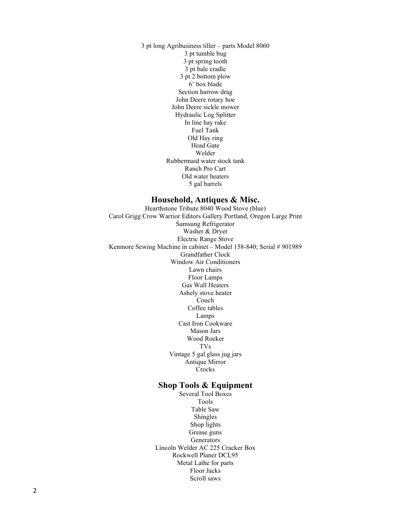3 pt long Agribusiness tiller – parts Model 8060 3 pt tumble bug 3 pt spring tooth 3 pt bale cradle 3 pt 2 bottom plow 6' box blade Section harrow drag John Deere rotary hoe John Deere sickle mower Hydraulic Log Splitter In line hay rake Fuel Tank Old Hay ring Head Gate Welder Rubbermaid water stock tank Ranch Pro Cart Old water heaters 5 gal barrels

#### **Household, Antiques & Misc.**

Hearthstone Tribute 8040 Wood Stove (blue) Carol Grigg Crow Warrior Editors Gallery Portland, Oregon Large Print Samsung Refrigerator Washer & Dryer Electric Range Stove Kenmore Sewing Machine in cabinet – Model 158-840; Serial # 901989 Grandfather Clock Window Air Conditioners Lawn chairs Floor Lamps Gas Wall Heaters Ashely stove heater Couch Coffee tables Lamps Cast Iron Cookware Mason Jars Wood Rocker TVs Vintage 5 gal glass jug jars Antique Mirror Crocks

#### **Shop Tools & Equipment**

Several Tool Boxes Tools Table Saw Shingles Shop lights Grease guns Generators Lincoln Welder AC 225 Cracker Box Rockwell Planer DCL95 Metal Lathe for parts Floor Jacks Scroll saws